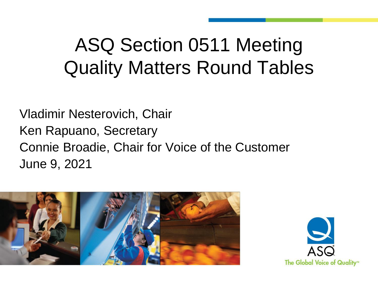## ASQ Section 0511 Meeting Quality Matters Round Tables

Vladimir Nesterovich, Chair Ken Rapuano, Secretary Connie Broadie, Chair for Voice of the Customer June 9, 2021



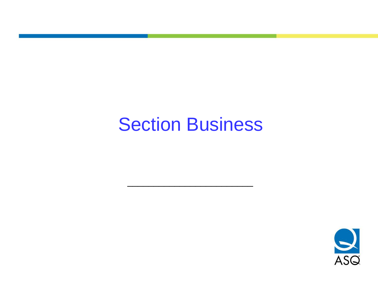#### Section Business

\_\_\_\_\_\_\_\_\_\_\_\_\_\_\_\_\_\_\_\_\_\_\_\_

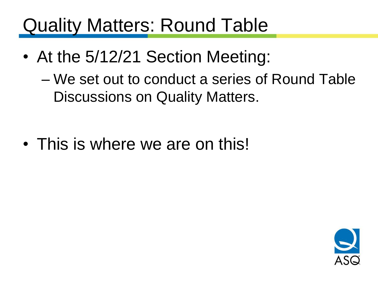#### Quality Matters: Round Table

• At the 5/12/21 Section Meeting:

– We set out to conduct a series of Round Table Discussions on Quality Matters.

• This is where we are on this!

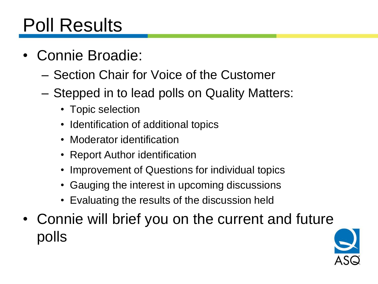## Poll Results

- Connie Broadie:
	- Section Chair for Voice of the Customer
	- Stepped in to lead polls on Quality Matters:
		- Topic selection
		- Identification of additional topics
		- Moderator identification
		- Report Author identification
		- Improvement of Questions for individual topics
		- Gauging the interest in upcoming discussions
		- Evaluating the results of the discussion held
- Connie will brief you on the current and future polls

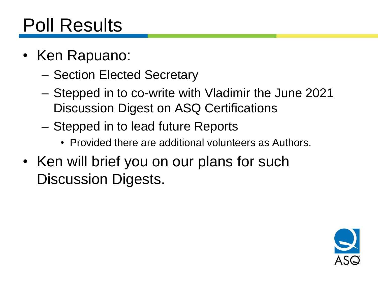#### Poll Results

- Ken Rapuano:
	- Section Elected Secretary
	- Stepped in to co-write with Vladimir the June 2021 Discussion Digest on ASQ Certifications
	- Stepped in to lead future Reports
		- Provided there are additional volunteers as Authors.
- Ken will brief you on our plans for such Discussion Digests.

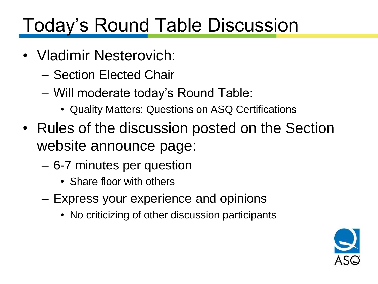## Today's Round Table Discussion

- Vladimir Nesterovich:
	- Section Elected Chair
	- Will moderate today's Round Table:
		- Quality Matters: Questions on ASQ Certifications
- Rules of the discussion posted on the Section website announce page:
	- 6-7 minutes per question
		- Share floor with others
	- Express your experience and opinions
		- No criticizing of other discussion participants

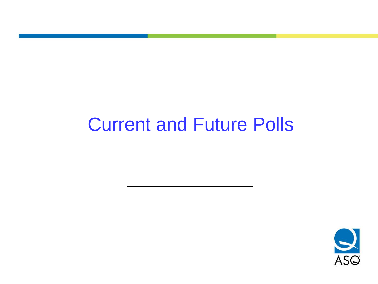#### Current and Future Polls

\_\_\_\_\_\_\_\_\_\_\_\_\_\_\_\_\_\_\_\_\_\_\_\_

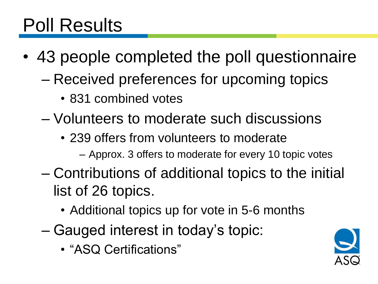#### Poll Results

- 43 people completed the poll questionnaire
	- Received preferences for upcoming topics
		- 831 combined votes
	- Volunteers to moderate such discussions
		- 239 offers from volunteers to moderate
			- Approx. 3 offers to moderate for every 10 topic votes
	- Contributions of additional topics to the initial list of 26 topics.
		- Additional topics up for vote in 5-6 months
	- Gauged interest in today's topic:
		- "ASQ Certifications"

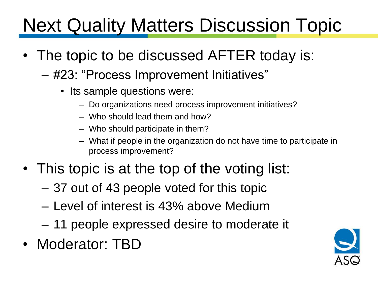# **Next Quality Matters Discussion Topic**

- The topic to be discussed AFTER today is:
	- #23: "Process Improvement Initiatives"
		- Its sample questions were:
			- Do organizations need process improvement initiatives?
			- Who should lead them and how?
			- Who should participate in them?
			- What if people in the organization do not have time to participate in process improvement?
- This topic is at the top of the voting list:
	- 37 out of 43 people voted for this topic
	- Level of interest is 43% above Medium
	- 11 people expressed desire to moderate it
- Moderator: TBD

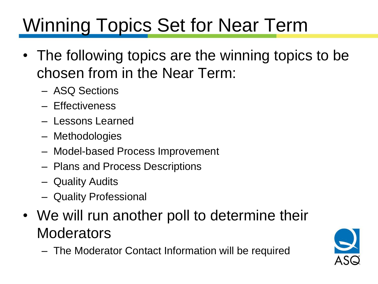# Winning Topics Set for Near Term

- The following topics are the winning topics to be chosen from in the Near Term:
	- ASQ Sections
	- Effectiveness
	- Lessons Learned
	- Methodologies
	- Model-based Process Improvement
	- Plans and Process Descriptions
	- Quality Audits
	- Quality Professional
- We will run another poll to determine their **Moderators** 
	- The Moderator Contact Information will be required

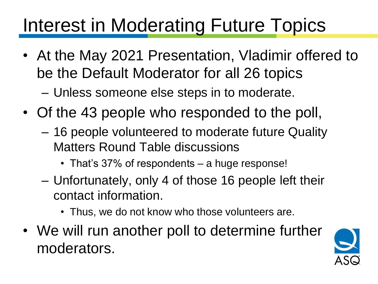## Interest in Moderating Future Topics

- At the May 2021 Presentation, Vladimir offered to be the Default Moderator for all 26 topics – Unless someone else steps in to moderate.
- Of the 43 people who responded to the poll,
	- 16 people volunteered to moderate future Quality Matters Round Table discussions
		- That's 37% of respondents a huge response!
	- Unfortunately, only 4 of those 16 people left their contact information.
		- Thus, we do not know who those volunteers are.
- We will run another poll to determine further moderators.

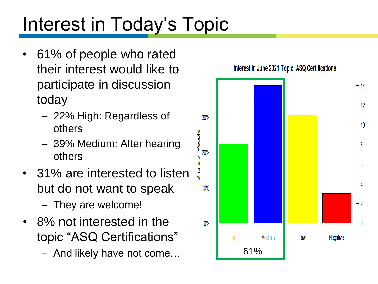# Interest in Today's Topic

- 61% of people who rated their interest would like to participate in discussion today
	- 22% High: Regardless of others
	- 39% Medium: After hearing others
- 31% are interested to listen but do not want to speak – They are welcome!
- 8% not interested in the topic "ASQ Certifications"
	- And likely have not come… 61%

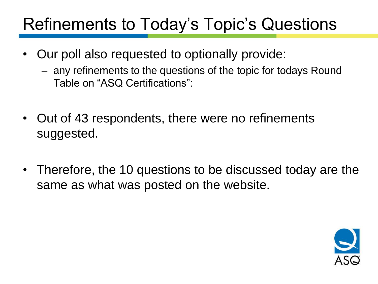#### Refinements to Today's Topic's Questions

- Our poll also requested to optionally provide:
	- any refinements to the questions of the topic for todays Round Table on "ASQ Certifications":
- Out of 43 respondents, there were no refinements suggested.
- Therefore, the 10 questions to be discussed today are the same as what was posted on the website.

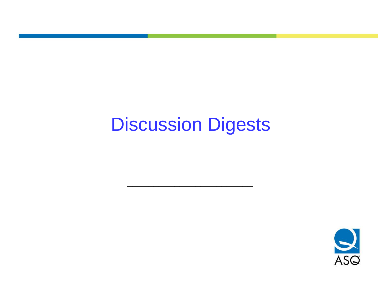#### Discussion Digests

\_\_\_\_\_\_\_\_\_\_\_\_\_\_\_\_\_\_\_\_\_\_\_\_

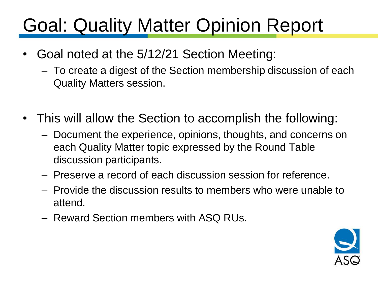## Goal: Quality Matter Opinion Report

- Goal noted at the 5/12/21 Section Meeting:
	- To create a digest of the Section membership discussion of each Quality Matters session.
- This will allow the Section to accomplish the following:
	- Document the experience, opinions, thoughts, and concerns on each Quality Matter topic expressed by the Round Table discussion participants.
	- Preserve a record of each discussion session for reference.
	- Provide the discussion results to members who were unable to attend.
	- Reward Section members with ASQ RUs.

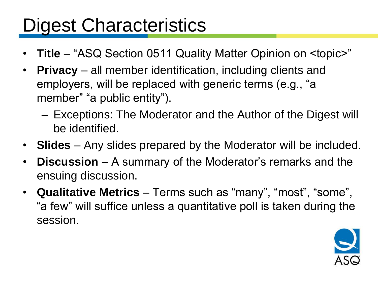#### Digest Characteristics

- **Title** "ASQ Section 0511 Quality Matter Opinion on <topic>"
- **Privacy** all member identification, including clients and employers, will be replaced with generic terms (e.g., "a member" "a public entity").
	- Exceptions: The Moderator and the Author of the Digest will be identified.
- **Slides** Any slides prepared by the Moderator will be included.
- **Discussion** A summary of the Moderator's remarks and the ensuing discussion.
- **Qualitative Metrics** Terms such as "many", "most", "some", "a few" will suffice unless a quantitative poll is taken during the session.

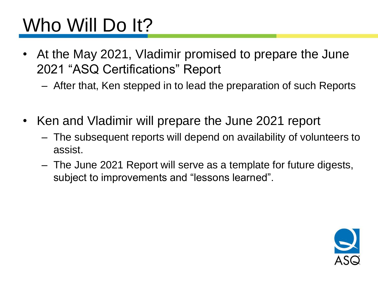# Who Will Do It?

- At the May 2021, Vladimir promised to prepare the June 2021 "ASQ Certifications" Report
	- After that, Ken stepped in to lead the preparation of such Reports
- Ken and Vladimir will prepare the June 2021 report
	- The subsequent reports will depend on availability of volunteers to assist.
	- The June 2021 Report will serve as a template for future digests, subject to improvements and "lessons learned".

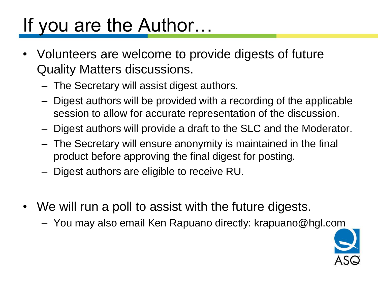## If you are the Author…

- Volunteers are welcome to provide digests of future Quality Matters discussions.
	- The Secretary will assist digest authors.
	- Digest authors will be provided with a recording of the applicable session to allow for accurate representation of the discussion.
	- Digest authors will provide a draft to the SLC and the Moderator.
	- The Secretary will ensure anonymity is maintained in the final product before approving the final digest for posting.
	- Digest authors are eligible to receive RU.
- We will run a poll to assist with the future digests.
	- You may also email Ken Rapuano directly: krapuano@hgl.com

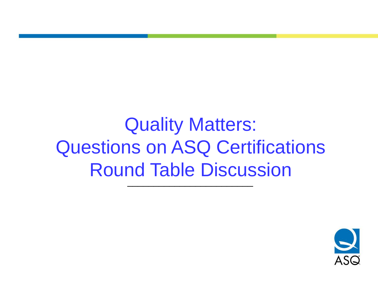Quality Matters: Questions on ASQ Certifications Round Table Discussion \_\_\_\_\_\_\_\_\_\_\_\_\_\_\_\_\_\_\_\_\_\_\_\_